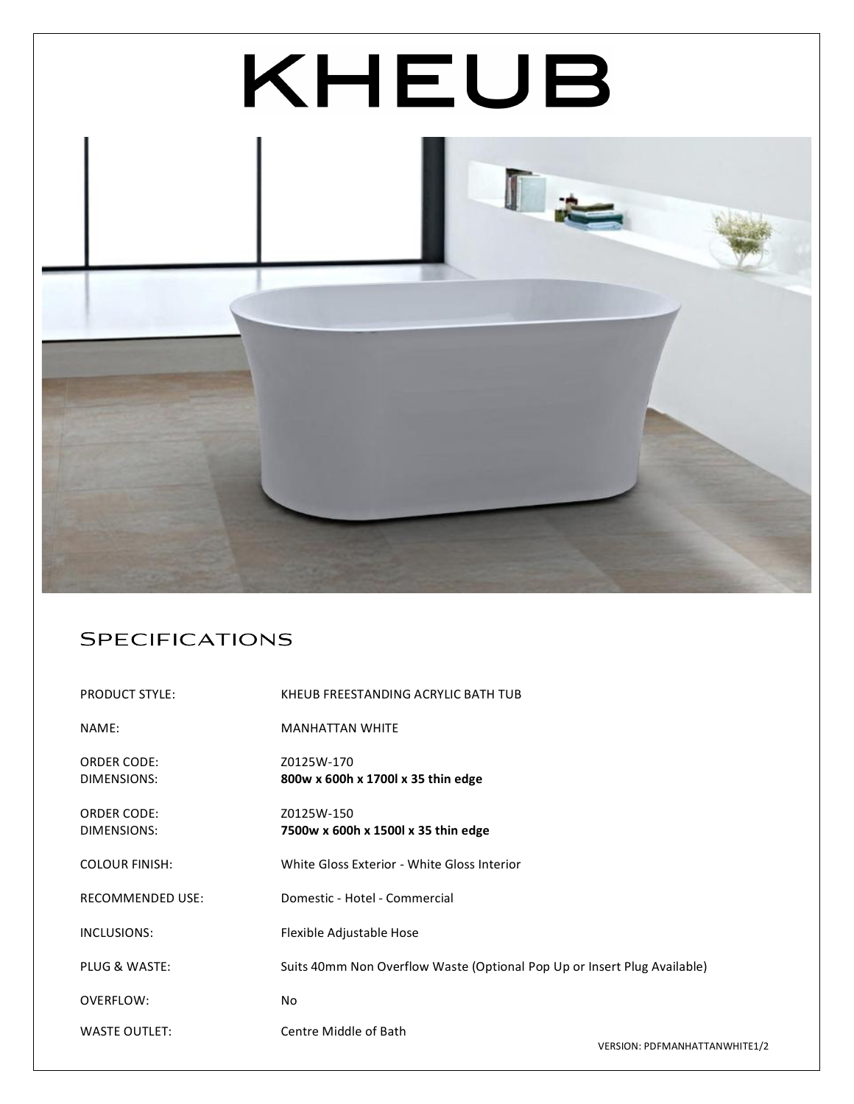

## Specifications

| <b>PRODUCT STYLE:</b>   | KHEUB FREESTANDING ACRYLIC BATH TUB                                      |                               |
|-------------------------|--------------------------------------------------------------------------|-------------------------------|
| NAME:                   | <b>MANHATTAN WHITE</b>                                                   |                               |
| <b>ORDER CODE:</b>      | Z0125W-170                                                               |                               |
| DIMENSIONS:             | 800w x 600h x 1700l x 35 thin edge                                       |                               |
| <b>ORDER CODE:</b>      | Z0125W-150                                                               |                               |
| DIMENSIONS:             | 7500w x 600h x 1500l x 35 thin edge                                      |                               |
| <b>COLOUR FINISH:</b>   | White Gloss Exterior - White Gloss Interior                              |                               |
| <b>RECOMMENDED USE:</b> | Domestic - Hotel - Commercial                                            |                               |
| INCLUSIONS:             | Flexible Adjustable Hose                                                 |                               |
| PLUG & WASTE:           | Suits 40mm Non Overflow Waste (Optional Pop Up or Insert Plug Available) |                               |
| OVERFLOW:               | <b>No</b>                                                                |                               |
| <b>WASTE OUTLET:</b>    | Centre Middle of Bath                                                    | VERSION: PDEMANHATTANWHITE1/2 |